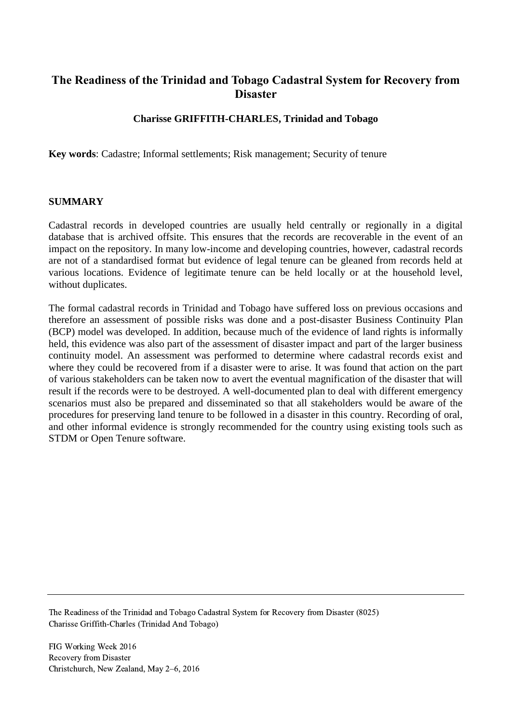# **The Readiness of the Trinidad and Tobago Cadastral System for Recovery from Disaster**

## **Charisse GRIFFITH-CHARLES, Trinidad and Tobago**

**Key words**: Cadastre; Informal settlements; Risk management; Security of tenure

#### **SUMMARY**

Cadastral records in developed countries are usually held centrally or regionally in a digital database that is archived offsite. This ensures that the records are recoverable in the event of an impact on the repository. In many low-income and developing countries, however, cadastral records are not of a standardised format but evidence of legal tenure can be gleaned from records held at various locations. Evidence of legitimate tenure can be held locally or at the household level, without duplicates.

The formal cadastral records in Trinidad and Tobago have suffered loss on previous occasions and therefore an assessment of possible risks was done and a post-disaster Business Continuity Plan (BCP) model was developed. In addition, because much of the evidence of land rights is informally held, this evidence was also part of the assessment of disaster impact and part of the larger business continuity model. An assessment was performed to determine where cadastral records exist and where they could be recovered from if a disaster were to arise. It was found that action on the part of various stakeholders can be taken now to avert the eventual magnification of the disaster that will result if the records were to be destroyed. A well-documented plan to deal with different emergency scenarios must also be prepared and disseminated so that all stakeholders would be aware of the procedures for preserving land tenure to be followed in a disaster in this country. Recording of oral, and other informal evidence is strongly recommended for the country using existing tools such as STDM or Open Tenure software.

The Readiness of the Trinidad and Tobago Cadastral System for Recovery from Disaster (8025) Charisse Griffith-Charles (Trinidad And Tobago)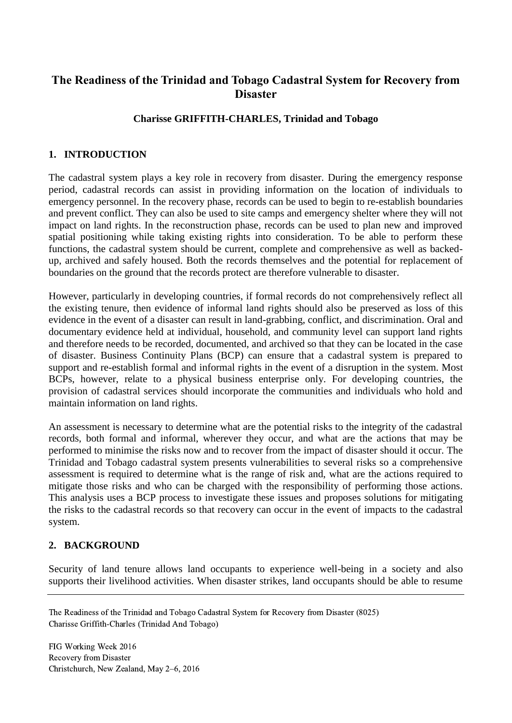# **The Readiness of the Trinidad and Tobago Cadastral System for Recovery from Disaster**

## **Charisse GRIFFITH-CHARLES, Trinidad and Tobago**

## **1. INTRODUCTION**

The cadastral system plays a key role in recovery from disaster. During the emergency response period, cadastral records can assist in providing information on the location of individuals to emergency personnel. In the recovery phase, records can be used to begin to re-establish boundaries and prevent conflict. They can also be used to site camps and emergency shelter where they will not impact on land rights. In the reconstruction phase, records can be used to plan new and improved spatial positioning while taking existing rights into consideration. To be able to perform these functions, the cadastral system should be current, complete and comprehensive as well as backedup, archived and safely housed. Both the records themselves and the potential for replacement of boundaries on the ground that the records protect are therefore vulnerable to disaster.

However, particularly in developing countries, if formal records do not comprehensively reflect all the existing tenure, then evidence of informal land rights should also be preserved as loss of this evidence in the event of a disaster can result in land-grabbing, conflict, and discrimination. Oral and documentary evidence held at individual, household, and community level can support land rights and therefore needs to be recorded, documented, and archived so that they can be located in the case of disaster. Business Continuity Plans (BCP) can ensure that a cadastral system is prepared to support and re-establish formal and informal rights in the event of a disruption in the system. Most BCPs, however, relate to a physical business enterprise only. For developing countries, the provision of cadastral services should incorporate the communities and individuals who hold and maintain information on land rights.

An assessment is necessary to determine what are the potential risks to the integrity of the cadastral records, both formal and informal, wherever they occur, and what are the actions that may be performed to minimise the risks now and to recover from the impact of disaster should it occur. The Trinidad and Tobago cadastral system presents vulnerabilities to several risks so a comprehensive assessment is required to determine what is the range of risk and, what are the actions required to mitigate those risks and who can be charged with the responsibility of performing those actions. This analysis uses a BCP process to investigate these issues and proposes solutions for mitigating the risks to the cadastral records so that recovery can occur in the event of impacts to the cadastral system.

#### **2. BACKGROUND**

Security of land tenure allows land occupants to experience well-being in a society and also supports their livelihood activities. When disaster strikes, land occupants should be able to resume

The Readiness of the Trinidad and Tobago Cadastral System for Recovery from Disaster (8025) Charisse Griffith-Charles (Trinidad And Tobago)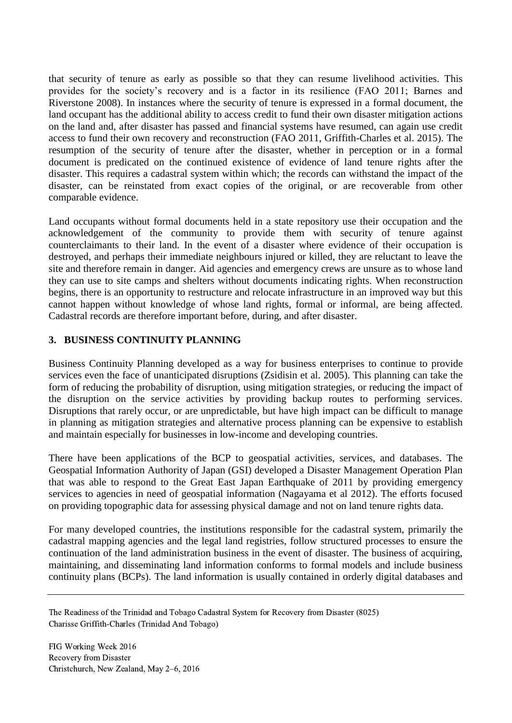that security of tenure as early as possible so that they can resume livelihood activities. This provides for the society's recovery and is a factor in its resilience (FAO 2011; Barnes and Riverstone 2008). In instances where the security of tenure is expressed in a formal document, the land occupant has the additional ability to access credit to fund their own disaster mitigation actions on the land and, after disaster has passed and financial systems have resumed, can again use credit access to fund their own recovery and reconstruction (FAO 2011, Griffith-Charles et al. 2015). The resumption of the security of tenure after the disaster, whether in perception or in a formal document is predicated on the continued existence of evidence of land tenure rights after the disaster. This requires a cadastral system within which; the records can withstand the impact of the disaster, can be reinstated from exact copies of the original, or are recoverable from other comparable evidence.

Land occupants without formal documents held in a state repository use their occupation and the acknowledgement of the community to provide them with security of tenure against counterclaimants to their land. In the event of a disaster where evidence of their occupation is destroyed, and perhaps their immediate neighbours injured or killed, they are reluctant to leave the site and therefore remain in danger. Aid agencies and emergency crews are unsure as to whose land they can use to site camps and shelters without documents indicating rights. When reconstruction begins, there is an opportunity to restructure and relocate infrastructure in an improved way but this cannot happen without knowledge of whose land rights, formal or informal, are being affected. Cadastral records are therefore important before, during, and after disaster.

## **3. BUSINESS CONTINUITY PLANNING**

Business Continuity Planning developed as a way for business enterprises to continue to provide services even the face of unanticipated disruptions (Zsidisin et al. 2005). This planning can take the form of reducing the probability of disruption, using mitigation strategies, or reducing the impact of the disruption on the service activities by providing backup routes to performing services. Disruptions that rarely occur, or are unpredictable, but have high impact can be difficult to manage in planning as mitigation strategies and alternative process planning can be expensive to establish and maintain especially for businesses in low-income and developing countries.

There have been applications of the BCP to geospatial activities, services, and databases. The Geospatial Information Authority of Japan (GSI) developed a Disaster Management Operation Plan that was able to respond to the Great East Japan Earthquake of 2011 by providing emergency services to agencies in need of geospatial information (Nagayama et al 2012). The efforts focused on providing topographic data for assessing physical damage and not on land tenure rights data.

For many developed countries, the institutions responsible for the cadastral system, primarily the cadastral mapping agencies and the legal land registries, follow structured processes to ensure the continuation of the land administration business in the event of disaster. The business of acquiring, maintaining, and disseminating land information conforms to formal models and include business continuity plans (BCPs). The land information is usually contained in orderly digital databases and

The Readiness of the Trinidad and Tobago Cadastral System for Recovery from Disaster (8025) Charisse Griffith-Charles (Trinidad And Tobago)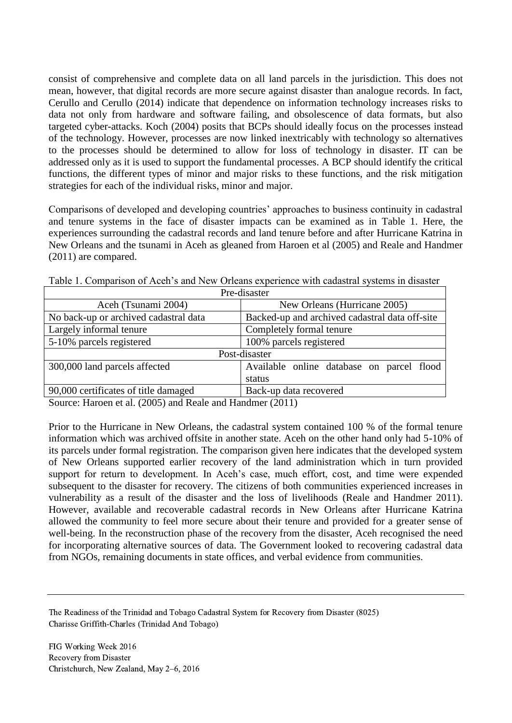consist of comprehensive and complete data on all land parcels in the jurisdiction. This does not mean, however, that digital records are more secure against disaster than analogue records. In fact, Cerullo and Cerullo (2014) indicate that dependence on information technology increases risks to data not only from hardware and software failing, and obsolescence of data formats, but also targeted cyber-attacks. Koch (2004) posits that BCPs should ideally focus on the processes instead of the technology. However, processes are now linked inextricably with technology so alternatives to the processes should be determined to allow for loss of technology in disaster. IT can be addressed only as it is used to support the fundamental processes. A BCP should identify the critical functions, the different types of minor and major risks to these functions, and the risk mitigation strategies for each of the individual risks, minor and major.

Comparisons of developed and developing countries' approaches to business continuity in cadastral and tenure systems in the face of disaster impacts can be examined as in Table 1. Here, the experiences surrounding the cadastral records and land tenure before and after Hurricane Katrina in New Orleans and the tsunami in Aceh as gleaned from Haroen et al (2005) and Reale and Handmer (2011) are compared.

| Pre-disaster                          |                                                |  |  |  |
|---------------------------------------|------------------------------------------------|--|--|--|
| Aceh (Tsunami 2004)                   | New Orleans (Hurricane 2005)                   |  |  |  |
| No back-up or archived cadastral data | Backed-up and archived cadastral data off-site |  |  |  |
| Largely informal tenure               | Completely formal tenure                       |  |  |  |
| 5-10% parcels registered              | 100% parcels registered                        |  |  |  |
| Post-disaster                         |                                                |  |  |  |
| 300,000 land parcels affected         | Available online database on parcel flood      |  |  |  |
|                                       | status                                         |  |  |  |
| 90,000 certificates of title damaged  | Back-up data recovered                         |  |  |  |

Table 1. Comparison of Aceh's and New Orleans experience with cadastral systems in disaster

Source: Haroen et al. (2005) and Reale and Handmer (2011)

Prior to the Hurricane in New Orleans, the cadastral system contained 100 % of the formal tenure information which was archived offsite in another state. Aceh on the other hand only had 5-10% of its parcels under formal registration. The comparison given here indicates that the developed system of New Orleans supported earlier recovery of the land administration which in turn provided support for return to development. In Aceh's case, much effort, cost, and time were expended subsequent to the disaster for recovery. The citizens of both communities experienced increases in vulnerability as a result of the disaster and the loss of livelihoods (Reale and Handmer 2011). However, available and recoverable cadastral records in New Orleans after Hurricane Katrina allowed the community to feel more secure about their tenure and provided for a greater sense of well-being. In the reconstruction phase of the recovery from the disaster, Aceh recognised the need for incorporating alternative sources of data. The Government looked to recovering cadastral data from NGOs, remaining documents in state offices, and verbal evidence from communities.

The Readiness of the Trinidad and Tobago Cadastral System for Recovery from Disaster (8025) Charisse Griffith-Charles (Trinidad And Tobago)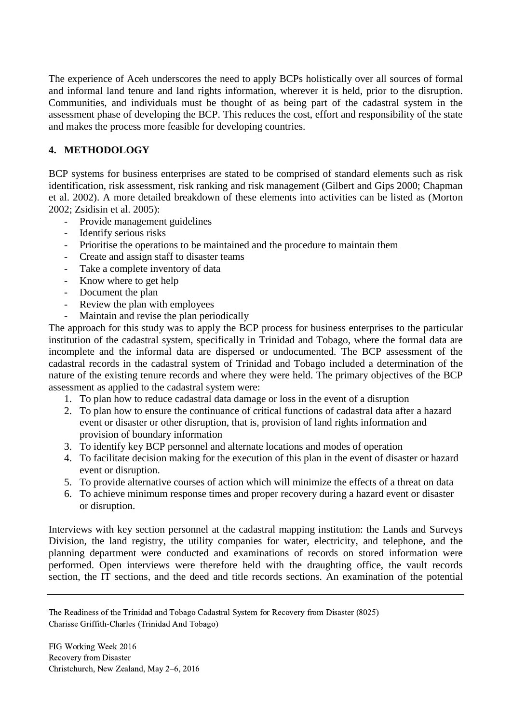The experience of Aceh underscores the need to apply BCPs holistically over all sources of formal and informal land tenure and land rights information, wherever it is held, prior to the disruption. Communities, and individuals must be thought of as being part of the cadastral system in the assessment phase of developing the BCP. This reduces the cost, effort and responsibility of the state and makes the process more feasible for developing countries.

# **4. METHODOLOGY**

BCP systems for business enterprises are stated to be comprised of standard elements such as risk identification, risk assessment, risk ranking and risk management (Gilbert and Gips 2000; Chapman et al. 2002). A more detailed breakdown of these elements into activities can be listed as (Morton 2002; Zsidisin et al. 2005):

- Provide management guidelines
- Identify serious risks
- Prioritise the operations to be maintained and the procedure to maintain them
- Create and assign staff to disaster teams
- Take a complete inventory of data
- Know where to get help
- Document the plan
- Review the plan with employees
- Maintain and revise the plan periodically

The approach for this study was to apply the BCP process for business enterprises to the particular institution of the cadastral system, specifically in Trinidad and Tobago, where the formal data are incomplete and the informal data are dispersed or undocumented. The BCP assessment of the cadastral records in the cadastral system of Trinidad and Tobago included a determination of the nature of the existing tenure records and where they were held. The primary objectives of the BCP assessment as applied to the cadastral system were:

- 1. To plan how to reduce cadastral data damage or loss in the event of a disruption
- 2. To plan how to ensure the continuance of critical functions of cadastral data after a hazard event or disaster or other disruption, that is, provision of land rights information and provision of boundary information
- 3. To identify key BCP personnel and alternate locations and modes of operation
- 4. To facilitate decision making for the execution of this plan in the event of disaster or hazard event or disruption.
- 5. To provide alternative courses of action which will minimize the effects of a threat on data
- 6. To achieve minimum response times and proper recovery during a hazard event or disaster or disruption.

Interviews with key section personnel at the cadastral mapping institution: the Lands and Surveys Division, the land registry, the utility companies for water, electricity, and telephone, and the planning department were conducted and examinations of records on stored information were performed. Open interviews were therefore held with the draughting office, the vault records section, the IT sections, and the deed and title records sections. An examination of the potential

The Readiness of the Trinidad and Tobago Cadastral System for Recovery from Disaster (8025) Charisse Griffith-Charles (Trinidad And Tobago)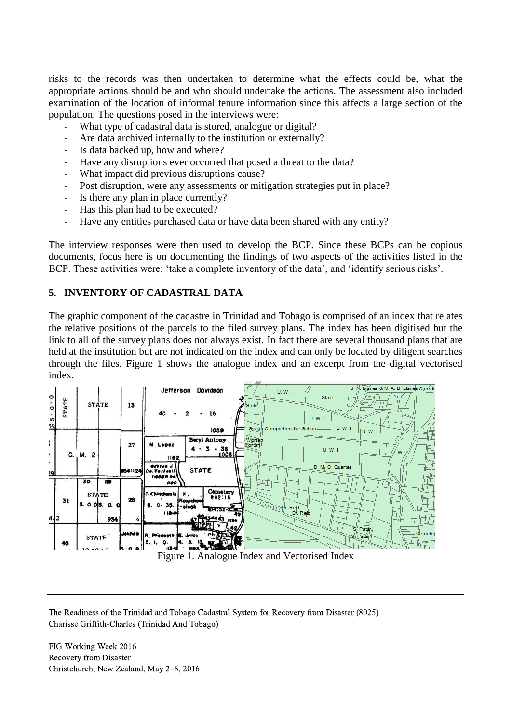risks to the records was then undertaken to determine what the effects could be, what the appropriate actions should be and who should undertake the actions. The assessment also included examination of the location of informal tenure information since this affects a large section of the population. The questions posed in the interviews were:

- What type of cadastral data is stored, analogue or digital?
- Are data archived internally to the institution or externally?
- Is data backed up, how and where?
- Have any disruptions ever occurred that posed a threat to the data?
- What impact did previous disruptions cause?
- Post disruption, were any assessments or mitigation strategies put in place?
- Is there any plan in place currently?
- Has this plan had to be executed?
- Have any entities purchased data or have data been shared with any entity?

The interview responses were then used to develop the BCP. Since these BCPs can be copious documents, focus here is on documenting the findings of two aspects of the activities listed in the BCP. These activities were: 'take a complete inventory of the data', and 'identify serious risks'.

## **5. INVENTORY OF CADASTRAL DATA**

The graphic component of the cadastre in Trinidad and Tobago is comprised of an index that relates the relative positions of the parcels to the filed survey plans. The index has been digitised but the link to all of the survey plans does not always exist. In fact there are several thousand plans that are held at the institution but are not indicated on the index and can only be located by diligent searches through the files. Figure 1 shows the analogue index and an excerpt from the digital vectorised index.



The Readiness of the Trinidad and Tobago Cadastral System for Recovery from Disaster (8025) Charisse Griffith-Charles (Trinidad And Tobago)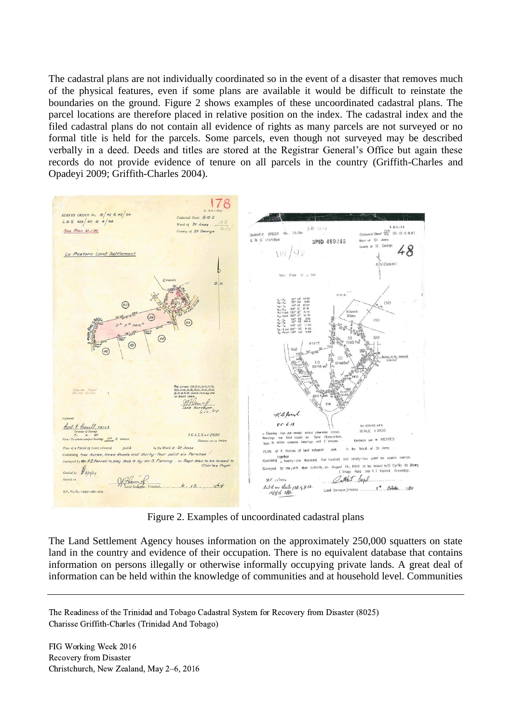The cadastral plans are not individually coordinated so in the event of a disaster that removes much of the physical features, even if some plans are available it would be difficult to reinstate the boundaries on the ground. Figure 2 shows examples of these uncoordinated cadastral plans. The parcel locations are therefore placed in relative position on the index. The cadastral index and the filed cadastral plans do not contain all evidence of rights as many parcels are not surveyed or no formal title is held for the parcels. Some parcels, even though not surveyed may be described verbally in a deed. Deeds and titles are stored at the Registrar General's Office but again these records do not provide evidence of tenure on all parcels in the country (Griffith-Charles and Opadeyi 2009; Griffith-Charles 2004).



Figure 2. Examples of uncoordinated cadastral plans

The Land Settlement Agency houses information on the approximately 250,000 squatters on state land in the country and evidence of their occupation. There is no equivalent database that contains information on persons illegally or otherwise informally occupying private lands. A great deal of information can be held within the knowledge of communities and at household level. Communities

The Readiness of the Trinidad and Tobago Cadastral System for Recovery from Disaster (8025) Charisse Griffith-Charles (Trinidad And Tobago)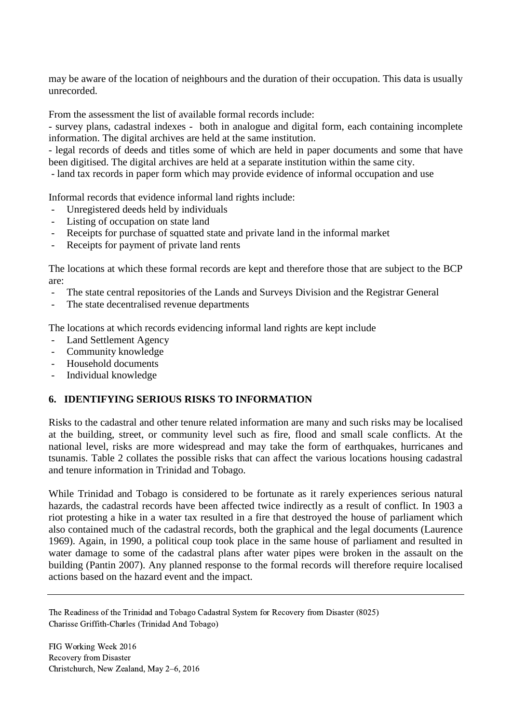may be aware of the location of neighbours and the duration of their occupation. This data is usually unrecorded.

From the assessment the list of available formal records include:

- survey plans, cadastral indexes - both in analogue and digital form, each containing incomplete information. The digital archives are held at the same institution.

- legal records of deeds and titles some of which are held in paper documents and some that have been digitised. The digital archives are held at a separate institution within the same city.

- land tax records in paper form which may provide evidence of informal occupation and use

Informal records that evidence informal land rights include:

- Unregistered deeds held by individuals
- Listing of occupation on state land
- Receipts for purchase of squatted state and private land in the informal market
- Receipts for payment of private land rents

The locations at which these formal records are kept and therefore those that are subject to the BCP are:

- The state central repositories of the Lands and Surveys Division and the Registrar General
- The state decentralised revenue departments

The locations at which records evidencing informal land rights are kept include

- Land Settlement Agency
- Community knowledge
- Household documents
- Individual knowledge

## **6. IDENTIFYING SERIOUS RISKS TO INFORMATION**

Risks to the cadastral and other tenure related information are many and such risks may be localised at the building, street, or community level such as fire, flood and small scale conflicts. At the national level, risks are more widespread and may take the form of earthquakes, hurricanes and tsunamis. Table 2 collates the possible risks that can affect the various locations housing cadastral and tenure information in Trinidad and Tobago.

While Trinidad and Tobago is considered to be fortunate as it rarely experiences serious natural hazards, the cadastral records have been affected twice indirectly as a result of conflict. In 1903 a riot protesting a hike in a water tax resulted in a fire that destroyed the house of parliament which also contained much of the cadastral records, both the graphical and the legal documents (Laurence 1969). Again, in 1990, a political coup took place in the same house of parliament and resulted in water damage to some of the cadastral plans after water pipes were broken in the assault on the building (Pantin 2007). Any planned response to the formal records will therefore require localised actions based on the hazard event and the impact.

The Readiness of the Trinidad and Tobago Cadastral System for Recovery from Disaster (8025) Charisse Griffith-Charles (Trinidad And Tobago)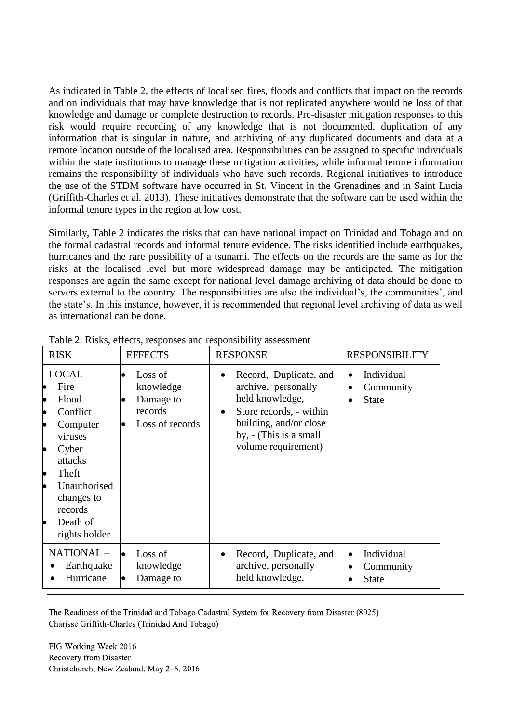As indicated in Table 2, the effects of localised fires, floods and conflicts that impact on the records and on individuals that may have knowledge that is not replicated anywhere would be loss of that knowledge and damage or complete destruction to records. Pre-disaster mitigation responses to this risk would require recording of any knowledge that is not documented, duplication of any information that is singular in nature, and archiving of any duplicated documents and data at a remote location outside of the localised area. Responsibilities can be assigned to specific individuals within the state institutions to manage these mitigation activities, while informal tenure information remains the responsibility of individuals who have such records. Regional initiatives to introduce the use of the STDM software have occurred in St. Vincent in the Grenadines and in Saint Lucia (Griffith-Charles et al. 2013). These initiatives demonstrate that the software can be used within the informal tenure types in the region at low cost.

Similarly, Table 2 indicates the risks that can have national impact on Trinidad and Tobago and on the formal cadastral records and informal tenure evidence. The risks identified include earthquakes, hurricanes and the rare possibility of a tsunami. The effects on the records are the same as for the risks at the localised level but more widespread damage may be anticipated. The mitigation responses are again the same except for national level damage archiving of data should be done to servers external to the country. The responsibilities are also the individual's, the communities', and the state's. In this instance, however, it is recommended that regional level archiving of data as well as international can be done.

| <b>RISK</b>                                                                                                                                                                        | <b>EFFECTS</b>                                                               | <b>RESPONSE</b>                                                                                                                                                                                  | <b>RESPONSIBILITY</b>                                |
|------------------------------------------------------------------------------------------------------------------------------------------------------------------------------------|------------------------------------------------------------------------------|--------------------------------------------------------------------------------------------------------------------------------------------------------------------------------------------------|------------------------------------------------------|
| $LOCAL -$<br>Fire<br>Flood<br>Conflict<br>Computer<br>viruses<br>Cyber<br>attacks<br>Theft<br>$\bullet$<br>Unauthorised<br>changes to<br>records<br>Death of<br>٠<br>rights holder | Loss of<br>$\bullet$<br>knowledge<br>Damage to<br>records<br>Loss of records | Record, Duplicate, and<br>$\bullet$<br>archive, personally<br>held knowledge,<br>Store records, - within<br>$\bullet$<br>building, and/or close<br>by, - (This is a small<br>volume requirement) | Individual<br>$\bullet$<br>Community<br><b>State</b> |
| NATIONAL-<br>Earthquake<br>Hurricane                                                                                                                                               | Loss of<br>knowledge<br>Damage to                                            | Record, Duplicate, and<br>$\bullet$<br>archive, personally<br>held knowledge,                                                                                                                    | Individual<br>Community<br><b>State</b>              |

Table 2. Risks, effects, responses and responsibility assessment

The Readiness of the Trinidad and Tobago Cadastral System for Recovery from Disaster (8025) Charisse Griffith-Charles (Trinidad And Tobago)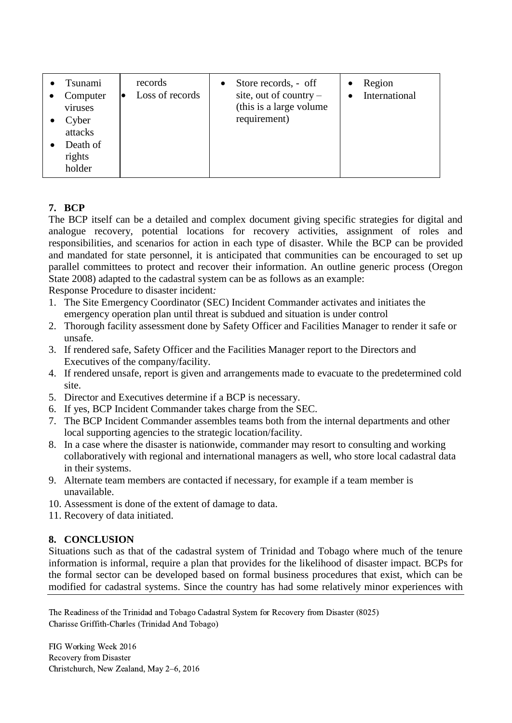| Tsunami<br>Computer<br>viruses<br>Cyber<br>attacks<br>Death of<br>rights<br>holder | records<br>Loss of records | Store records, - off<br>$\bullet$<br>site, out of country $-$<br>(this is a large volume)<br>requirement) | Region<br><b>International</b> |
|------------------------------------------------------------------------------------|----------------------------|-----------------------------------------------------------------------------------------------------------|--------------------------------|
|------------------------------------------------------------------------------------|----------------------------|-----------------------------------------------------------------------------------------------------------|--------------------------------|

# **7. BCP**

The BCP itself can be a detailed and complex document giving specific strategies for digital and analogue recovery, potential locations for recovery activities, assignment of roles and responsibilities, and scenarios for action in each type of disaster. While the BCP can be provided and mandated for state personnel, it is anticipated that communities can be encouraged to set up parallel committees to protect and recover their information. An outline generic process (Oregon State 2008) adapted to the cadastral system can be as follows as an example:

Response Procedure to disaster incident*:*

- 1. The Site Emergency Coordinator (SEC) Incident Commander activates and initiates the emergency operation plan until threat is subdued and situation is under control
- 2. Thorough facility assessment done by Safety Officer and Facilities Manager to render it safe or unsafe.
- 3. If rendered safe, Safety Officer and the Facilities Manager report to the Directors and Executives of the company/facility.
- 4. If rendered unsafe, report is given and arrangements made to evacuate to the predetermined cold site.
- 5. Director and Executives determine if a BCP is necessary.
- 6. If yes, BCP Incident Commander takes charge from the SEC.
- 7. The BCP Incident Commander assembles teams both from the internal departments and other local supporting agencies to the strategic location/facility.
- 8. In a case where the disaster is nationwide, commander may resort to consulting and working collaboratively with regional and international managers as well, who store local cadastral data in their systems.
- 9. Alternate team members are contacted if necessary, for example if a team member is unavailable.
- 10. Assessment is done of the extent of damage to data.
- 11. Recovery of data initiated.

## **8. CONCLUSION**

Situations such as that of the cadastral system of Trinidad and Tobago where much of the tenure information is informal, require a plan that provides for the likelihood of disaster impact. BCPs for the formal sector can be developed based on formal business procedures that exist, which can be modified for cadastral systems. Since the country has had some relatively minor experiences with

The Readiness of the Trinidad and Tobago Cadastral System for Recovery from Disaster (8025) Charisse Griffith-Charles (Trinidad And Tobago)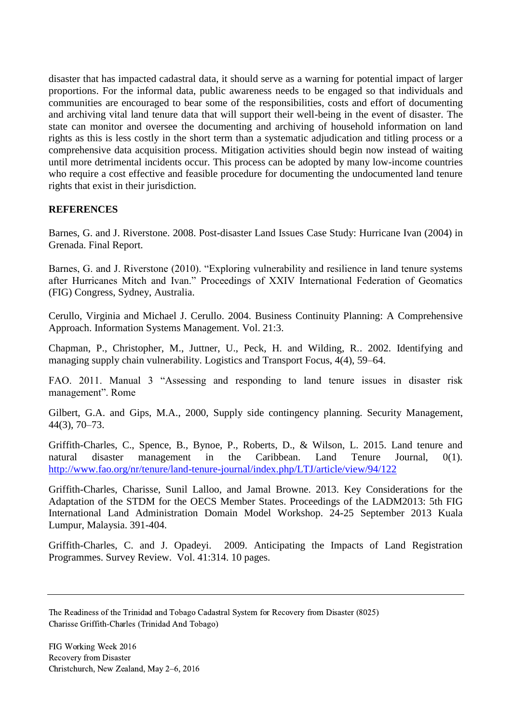disaster that has impacted cadastral data, it should serve as a warning for potential impact of larger proportions. For the informal data, public awareness needs to be engaged so that individuals and communities are encouraged to bear some of the responsibilities, costs and effort of documenting and archiving vital land tenure data that will support their well-being in the event of disaster. The state can monitor and oversee the documenting and archiving of household information on land rights as this is less costly in the short term than a systematic adjudication and titling process or a comprehensive data acquisition process. Mitigation activities should begin now instead of waiting until more detrimental incidents occur. This process can be adopted by many low-income countries who require a cost effective and feasible procedure for documenting the undocumented land tenure rights that exist in their jurisdiction.

### **REFERENCES**

Barnes, G. and J. Riverstone. 2008. Post-disaster Land Issues Case Study: Hurricane Ivan (2004) in Grenada. Final Report.

Barnes, G. and J. Riverstone (2010). "Exploring vulnerability and resilience in land tenure systems after Hurricanes Mitch and Ivan." Proceedings of XXIV International Federation of Geomatics (FIG) Congress, Sydney, Australia.

Cerullo, Virginia and Michael J. Cerullo. 2004. Business Continuity Planning: A Comprehensive Approach. Information Systems Management. Vol. 21:3.

Chapman, P., Christopher, M., Juttner, U., Peck, H. and Wilding, R.. 2002. Identifying and managing supply chain vulnerability. Logistics and Transport Focus, 4(4), 59–64.

FAO. 2011. Manual 3 "Assessing and responding to land tenure issues in disaster risk management". Rome

Gilbert, G.A. and Gips, M.A., 2000, Supply side contingency planning. Security Management, 44(3), 70–73.

Griffith-Charles, C., Spence, B., Bynoe, P., Roberts, D., & Wilson, L. 2015. Land tenure and natural disaster management in the Caribbean. Land Tenure Journal, 0(1). <http://www.fao.org/nr/tenure/land-tenure-journal/index.php/LTJ/article/view/94/122>

Griffith-Charles, Charisse, Sunil Lalloo, and Jamal Browne. 2013. Key Considerations for the Adaptation of the STDM for the OECS Member States. Proceedings of the LADM2013: 5th FIG International Land Administration Domain Model Workshop. 24-25 September 2013 Kuala Lumpur, Malaysia. 391-404.

Griffith-Charles, C. and J. Opadeyi. 2009. Anticipating the Impacts of Land Registration Programmes. Survey Review. Vol. 41:314. 10 pages.

The Readiness of the Trinidad and Tobago Cadastral System for Recovery from Disaster (8025) Charisse Griffith-Charles (Trinidad And Tobago)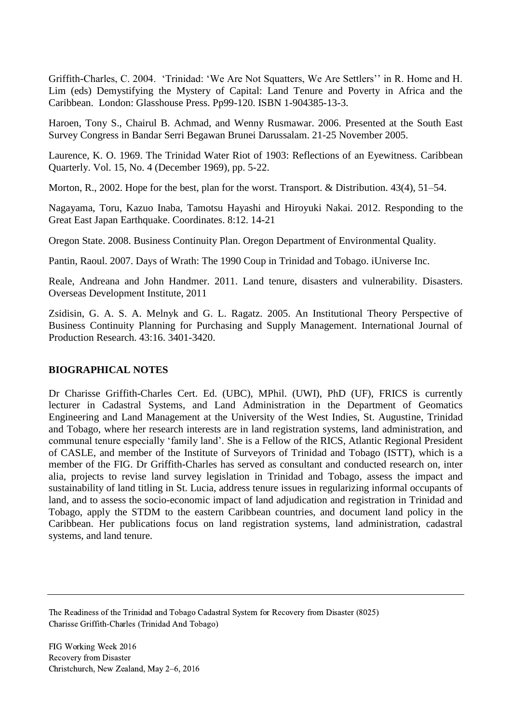Griffith-Charles, C. 2004. 'Trinidad: 'We Are Not Squatters, We Are Settlers'' in R. Home and H. Lim (eds) Demystifying the Mystery of Capital: Land Tenure and Poverty in Africa and the Caribbean. London: Glasshouse Press. Pp99-120. ISBN 1-904385-13-3.

Haroen, Tony S., Chairul B. Achmad, and Wenny Rusmawar. 2006. Presented at the South East Survey Congress in Bandar Serri Begawan Brunei Darussalam. 21-25 November 2005.

Laurence, K. O. 1969. The Trinidad Water Riot of 1903: Reflections of an Eyewitness. Caribbean Quarterly. Vol. 15, No. 4 (December 1969), pp. 5-22.

Morton, R., 2002. Hope for the best, plan for the worst. Transport. & Distribution. 43(4), 51–54.

Nagayama, Toru, Kazuo Inaba, Tamotsu Hayashi and Hiroyuki Nakai. 2012. Responding to the Great East Japan Earthquake. Coordinates. 8:12. 14-21

Oregon State. 2008. Business Continuity Plan. Oregon Department of Environmental Quality.

Pantin, Raoul. 2007. Days of Wrath: The 1990 Coup in Trinidad and Tobago. iUniverse Inc.

Reale, Andreana and John Handmer. 2011. Land tenure, disasters and vulnerability. Disasters. Overseas Development Institute, 2011

Zsidisin, G. A. S. A. Melnyk and G. L. Ragatz. 2005. An Institutional Theory Perspective of Business Continuity Planning for Purchasing and Supply Management. International Journal of Production Research. 43:16. 3401-3420.

## **BIOGRAPHICAL NOTES**

Dr Charisse Griffith-Charles Cert. Ed. (UBC), MPhil. (UWI), PhD (UF), FRICS is currently lecturer in Cadastral Systems, and Land Administration in the Department of Geomatics Engineering and Land Management at the University of the West Indies, St. Augustine, Trinidad and Tobago, where her research interests are in land registration systems, land administration, and communal tenure especially 'family land'. She is a Fellow of the RICS, Atlantic Regional President of CASLE, and member of the Institute of Surveyors of Trinidad and Tobago (ISTT), which is a member of the FIG. Dr Griffith-Charles has served as consultant and conducted research on, inter alia, projects to revise land survey legislation in Trinidad and Tobago, assess the impact and sustainability of land titling in St. Lucia, address tenure issues in regularizing informal occupants of land, and to assess the socio-economic impact of land adjudication and registration in Trinidad and Tobago, apply the STDM to the eastern Caribbean countries, and document land policy in the Caribbean. Her publications focus on land registration systems, land administration, cadastral systems, and land tenure.

The Readiness of the Trinidad and Tobago Cadastral System for Recovery from Disaster (8025) Charisse Griffith-Charles (Trinidad And Tobago)